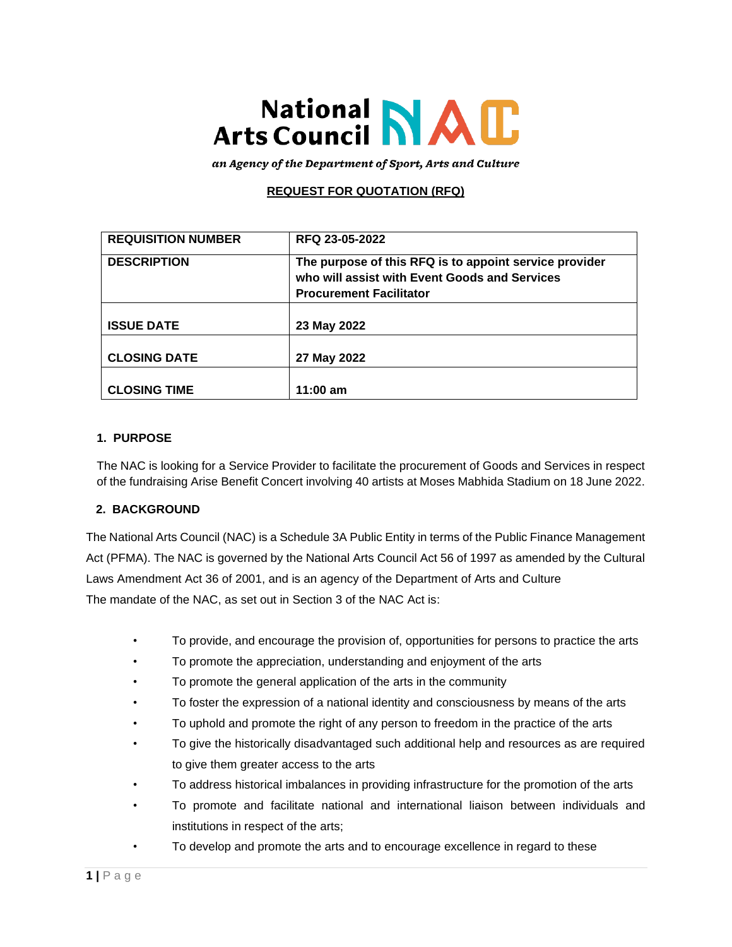# National NAC<br>Arts Council NAC

an Agency of the Department of Sport, Arts and Culture

## **REQUEST FOR QUOTATION (RFQ)**

| <b>REQUISITION NUMBER</b> | RFQ 23-05-2022                                                                                                                            |
|---------------------------|-------------------------------------------------------------------------------------------------------------------------------------------|
| <b>DESCRIPTION</b>        | The purpose of this RFQ is to appoint service provider<br>who will assist with Event Goods and Services<br><b>Procurement Facilitator</b> |
| <b>ISSUE DATE</b>         | 23 May 2022                                                                                                                               |
| <b>CLOSING DATE</b>       | 27 May 2022                                                                                                                               |
| <b>CLOSING TIME</b>       | $11:00$ am                                                                                                                                |

#### **1. PURPOSE**

The NAC is looking for a Service Provider to facilitate the procurement of Goods and Services in respect of the fundraising Arise Benefit Concert involving 40 artists at Moses Mabhida Stadium on 18 June 2022.

#### **2. BACKGROUND**

The National Arts Council (NAC) is a Schedule 3A Public Entity in terms of the Public Finance Management Act (PFMA). The NAC is governed by the National Arts Council Act 56 of 1997 as amended by the Cultural Laws Amendment Act 36 of 2001, and is an agency of the Department of Arts and Culture The mandate of the NAC, as set out in Section 3 of the NAC Act is:

- To provide, and encourage the provision of, opportunities for persons to practice the arts
- To promote the appreciation, understanding and enjoyment of the arts
- To promote the general application of the arts in the community
- To foster the expression of a national identity and consciousness by means of the arts
- To uphold and promote the right of any person to freedom in the practice of the arts
- To give the historically disadvantaged such additional help and resources as are required to give them greater access to the arts
- To address historical imbalances in providing infrastructure for the promotion of the arts
- To promote and facilitate national and international liaison between individuals and institutions in respect of the arts;
- To develop and promote the arts and to encourage excellence in regard to these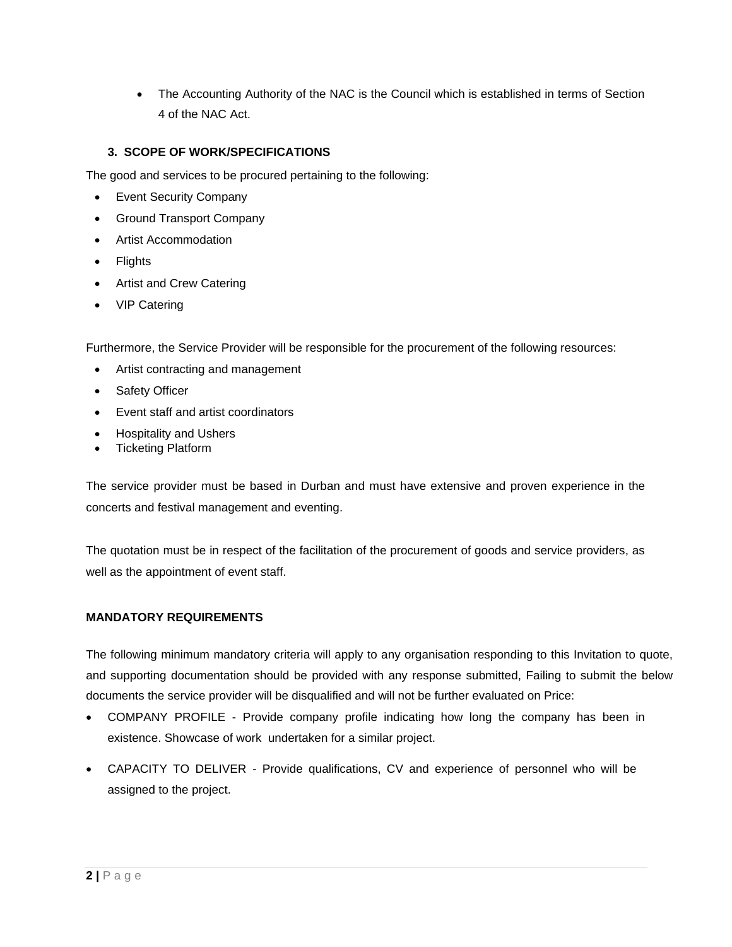• The Accounting Authority of the NAC is the Council which is established in terms of Section 4 of the NAC Act.

## **3. SCOPE OF WORK/SPECIFICATIONS**

The good and services to be procured pertaining to the following:

- Event Security Company
- Ground Transport Company
- Artist Accommodation
- **Flights**
- Artist and Crew Catering
- VIP Catering

Furthermore, the Service Provider will be responsible for the procurement of the following resources:

- Artist contracting and management
- Safety Officer
- Event staff and artist coordinators
- Hospitality and Ushers
- Ticketing Platform

The service provider must be based in Durban and must have extensive and proven experience in the concerts and festival management and eventing.

The quotation must be in respect of the facilitation of the procurement of goods and service providers, as well as the appointment of event staff.

#### **MANDATORY REQUIREMENTS**

The following minimum mandatory criteria will apply to any organisation responding to this Invitation to quote, and supporting documentation should be provided with any response submitted, Failing to submit the below documents the service provider will be disqualified and will not be further evaluated on Price:

- COMPANY PROFILE Provide company profile indicating how long the company has been in existence. Showcase of work undertaken for a similar project.
- CAPACITY TO DELIVER Provide qualifications, CV and experience of personnel who will be assigned to the project.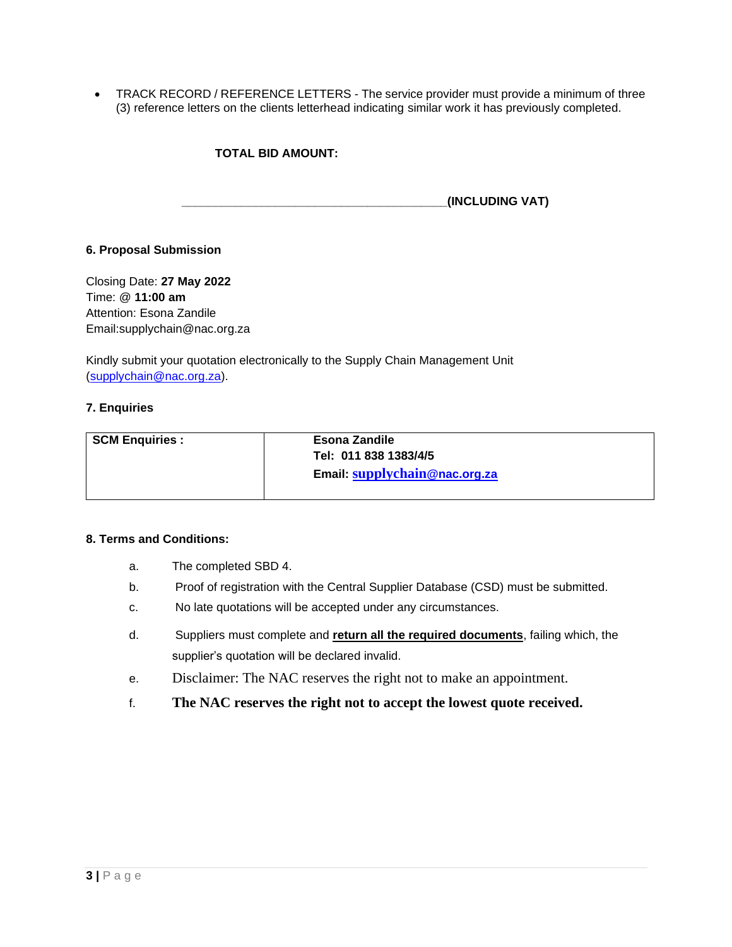• TRACK RECORD / REFERENCE LETTERS - The service provider must provide a minimum of three (3) reference letters on the clients letterhead indicating similar work it has previously completed.

### **TOTAL BID AMOUNT:**

**\_\_\_\_\_\_\_\_\_\_\_\_\_\_\_\_\_\_\_\_\_\_\_\_\_\_\_\_\_\_\_\_\_\_\_\_\_\_\_\_(INCLUDING VAT)**

#### **6. Proposal Submission**

Closing Date: **27 May 2022** Time: @ **11:00 am** Attention: Esona Zandile Email:supplychain@nac.org.za

Kindly submit your quotation electronically to the Supply Chain Management Unit [\(supplychain@nac.org.za\)](mailto:supplychain@nac.org.za).

#### **7. Enquiries**

| <b>SCM Enquiries:</b> | <b>Esona Zandile</b><br>Tel: 011 838 1383/4/5 |
|-----------------------|-----------------------------------------------|
|                       | Email: supplychain@nac.org.za                 |

#### **8. Terms and Conditions:**

- a. The completed SBD 4.
- b. Proof of registration with the Central Supplier Database (CSD) must be submitted.
- c. No late quotations will be accepted under any circumstances.
- d. Suppliers must complete and **return all the required documents**, failing which, the supplier's quotation will be declared invalid.
- e. Disclaimer: The NAC reserves the right not to make an appointment.
- f. **The NAC reserves the right not to accept the lowest quote received.**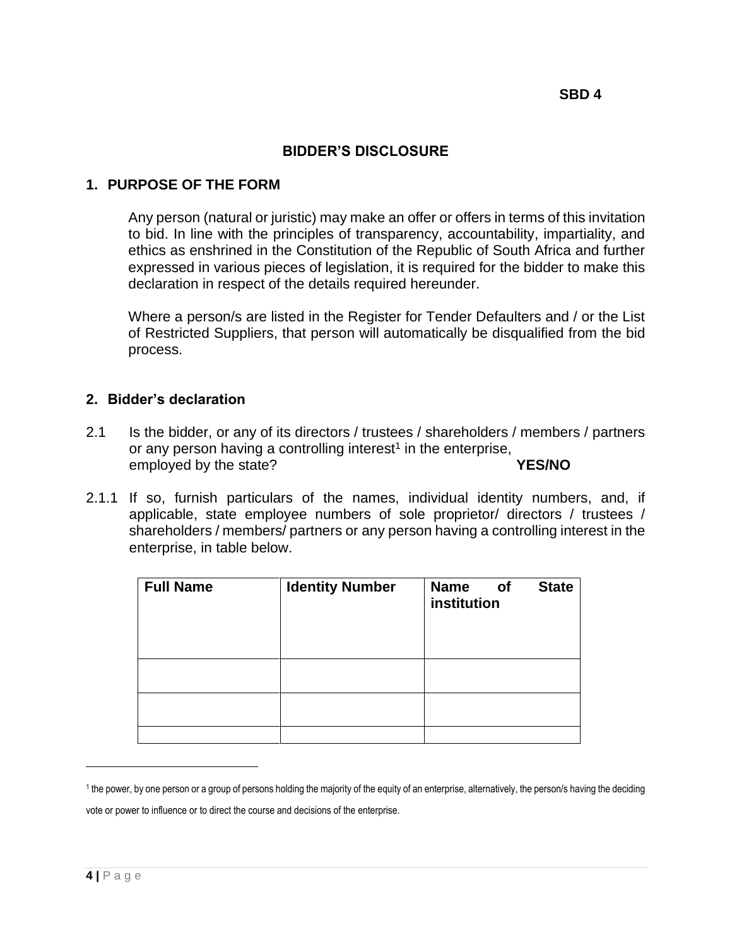# **BIDDER'S DISCLOSURE**

# **1. PURPOSE OF THE FORM**

Any person (natural or juristic) may make an offer or offers in terms of this invitation to bid. In line with the principles of transparency, accountability, impartiality, and ethics as enshrined in the Constitution of the Republic of South Africa and further expressed in various pieces of legislation, it is required for the bidder to make this declaration in respect of the details required hereunder.

Where a person/s are listed in the Register for Tender Defaulters and / or the List of Restricted Suppliers, that person will automatically be disqualified from the bid process.

## **2. Bidder's declaration**

- 2.1 Is the bidder, or any of its directors / trustees / shareholders / members / partners or any person having a controlling interest<sup>1</sup> in the enterprise, employed by the state? **YES/NO**
- 2.1.1 If so, furnish particulars of the names, individual identity numbers, and, if applicable, state employee numbers of sole proprietor/ directors / trustees / shareholders / members/ partners or any person having a controlling interest in the enterprise, in table below.

| <b>Full Name</b> | <b>Identity Number</b> | <b>Name</b><br>of<br>institution | <b>State</b> |
|------------------|------------------------|----------------------------------|--------------|
|                  |                        |                                  |              |
|                  |                        |                                  |              |
|                  |                        |                                  |              |

<sup>1</sup> the power, by one person or a group of persons holding the majority of the equity of an enterprise, alternatively, the person/s having the deciding vote or power to influence or to direct the course and decisions of the enterprise.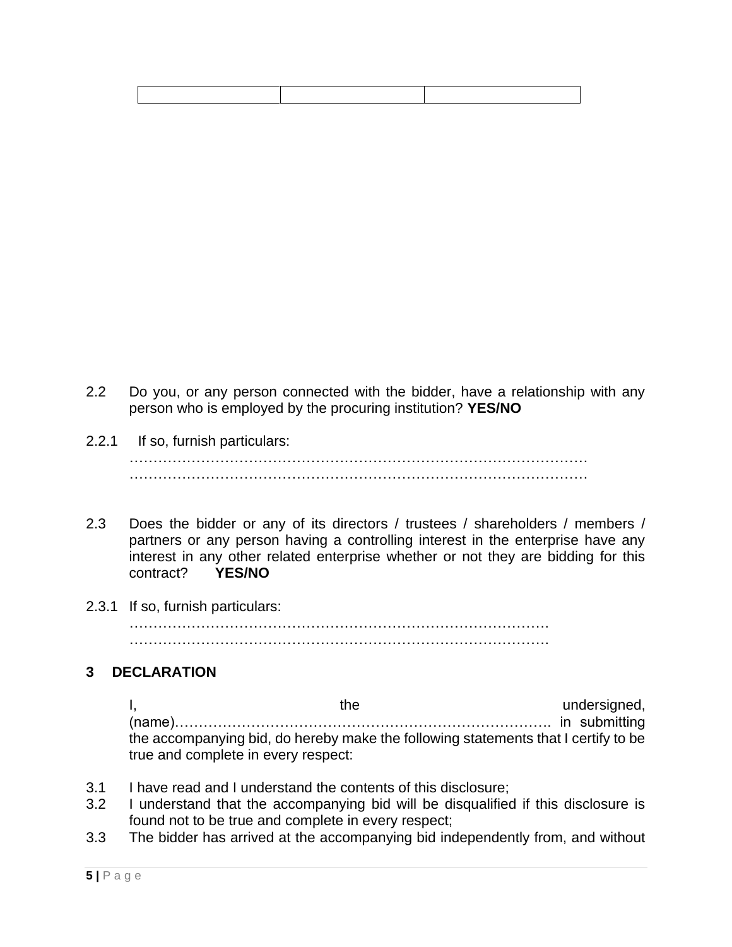- 2.2 Do you, or any person connected with the bidder, have a relationship with any person who is employed by the procuring institution? **YES/NO**
- 2.2.1 If so, furnish particulars: …………………………………………………………………………………… ……………………………………………………………………………………
- 2.3 Does the bidder or any of its directors / trustees / shareholders / members / partners or any person having a controlling interest in the enterprise have any interest in any other related enterprise whether or not they are bidding for this contract? **YES/NO**
- 2.3.1 If so, furnish particulars: ……………………………………………………………………………. …………………………………………………………………………….

# **3 DECLARATION**

I, the undersigned, (name)……………………………………………………………………. in submitting the accompanying bid, do hereby make the following statements that I certify to be true and complete in every respect:

- 3.1 I have read and I understand the contents of this disclosure;
- 3.2 I understand that the accompanying bid will be disqualified if this disclosure is found not to be true and complete in every respect;
- 3.3 The bidder has arrived at the accompanying bid independently from, and without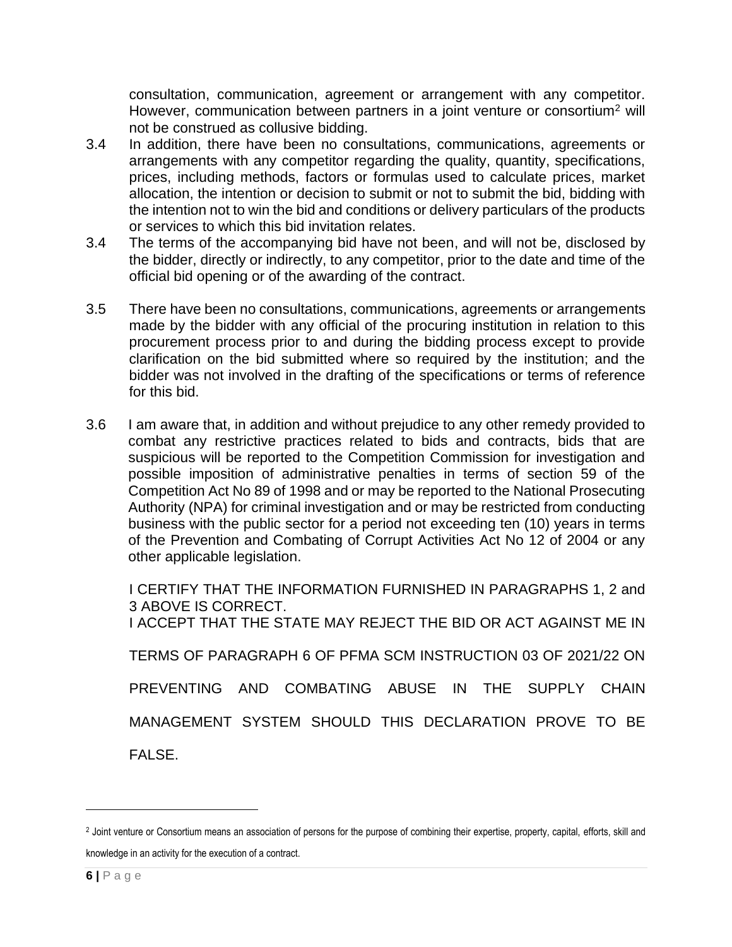consultation, communication, agreement or arrangement with any competitor. However, communication between partners in a joint venture or consortium<sup>2</sup> will not be construed as collusive bidding.

- 3.4 In addition, there have been no consultations, communications, agreements or arrangements with any competitor regarding the quality, quantity, specifications, prices, including methods, factors or formulas used to calculate prices, market allocation, the intention or decision to submit or not to submit the bid, bidding with the intention not to win the bid and conditions or delivery particulars of the products or services to which this bid invitation relates.
- 3.4 The terms of the accompanying bid have not been, and will not be, disclosed by the bidder, directly or indirectly, to any competitor, prior to the date and time of the official bid opening or of the awarding of the contract.
- 3.5 There have been no consultations, communications, agreements or arrangements made by the bidder with any official of the procuring institution in relation to this procurement process prior to and during the bidding process except to provide clarification on the bid submitted where so required by the institution; and the bidder was not involved in the drafting of the specifications or terms of reference for this bid.
- 3.6 I am aware that, in addition and without prejudice to any other remedy provided to combat any restrictive practices related to bids and contracts, bids that are suspicious will be reported to the Competition Commission for investigation and possible imposition of administrative penalties in terms of section 59 of the Competition Act No 89 of 1998 and or may be reported to the National Prosecuting Authority (NPA) for criminal investigation and or may be restricted from conducting business with the public sector for a period not exceeding ten (10) years in terms of the Prevention and Combating of Corrupt Activities Act No 12 of 2004 or any other applicable legislation.

I CERTIFY THAT THE INFORMATION FURNISHED IN PARAGRAPHS 1, 2 and 3 ABOVE IS CORRECT. I ACCEPT THAT THE STATE MAY REJECT THE BID OR ACT AGAINST ME IN TERMS OF PARAGRAPH 6 OF PFMA SCM INSTRUCTION 03 OF 2021/22 ON PREVENTING AND COMBATING ABUSE IN THE SUPPLY CHAIN MANAGEMENT SYSTEM SHOULD THIS DECLARATION PROVE TO BE FALSE.

<sup>2</sup> Joint venture or Consortium means an association of persons for the purpose of combining their expertise, property, capital, efforts, skill and knowledge in an activity for the execution of a contract.